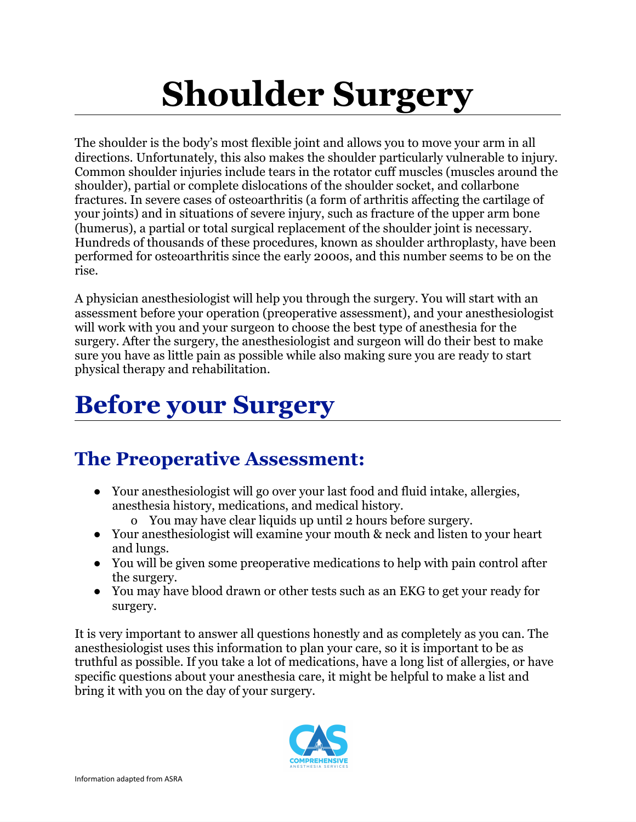# **Shoulder Surgery**

The shoulder is the body's most flexible joint and allows you to move your arm in all directions. Unfortunately, this also makes the shoulder particularly vulnerable to injury. Common shoulder injuries include tears in the rotator cuff muscles (muscles around the shoulder), partial or complete dislocations of the shoulder socket, and collarbone fractures. In severe cases of osteoarthritis (a form of arthritis affecting the cartilage of your joints) and in situations of severe injury, such as fracture of the upper arm bone (humerus), a partial or total surgical replacement of the shoulder joint is necessary. Hundreds of thousands of these procedures, known as shoulder arthroplasty, have been performed for osteoarthritis since the early 2000s, and this number seems to be on the rise.

A physician anesthesiologist will help you through the surgery. You will start with an assessment before your operation (preoperative assessment), and your anesthesiologist will work with you and your surgeon to choose the best type of anesthesia for the surgery. After the surgery, the anesthesiologist and surgeon will do their best to make sure you have as little pain as possible while also making sure you are ready to start physical therapy and rehabilitation.

## **Before your Surgery**

### **The Preoperative Assessment:**

- Your anesthesiologist will go over your last food and fluid intake, allergies, anesthesia history, medications, and medical history.
	- o You may have clear liquids up until 2 hours before surgery.
- Your anesthesiologist will examine your mouth & neck and listen to your heart and lungs.
- You will be given some preoperative medications to help with pain control after the surgery.
- You may have blood drawn or other tests such as an EKG to get your ready for surgery.

It is very important to answer all questions honestly and as completely as you can. The anesthesiologist uses this information to plan your care, so it is important to be as truthful as possible. If you take a lot of medications, have a long list of allergies, or have specific questions about your anesthesia care, it might be helpful to make a list and bring it with you on the day of your surgery.

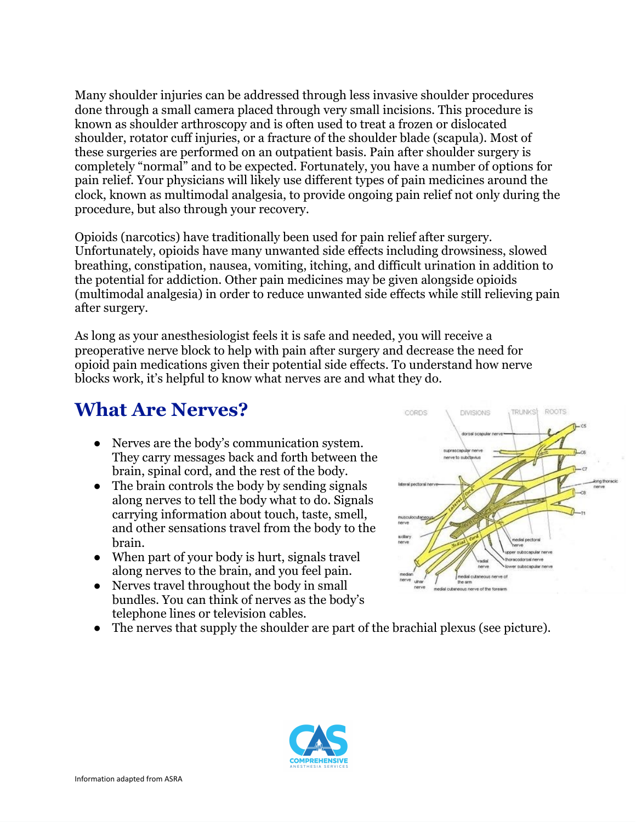Many shoulder injuries can be addressed through less invasive shoulder procedures done through a small camera placed through very small incisions. This procedure is known as shoulder arthroscopy and is often used to treat a frozen or dislocated shoulder, rotator cuff injuries, or a fracture of the shoulder blade (scapula). Most of these surgeries are performed on an outpatient basis. Pain after shoulder surgery is completely "normal" and to be expected. Fortunately, you have a number of options for pain relief. Your physicians will likely use different types of pain medicines around the clock, known as multimodal analgesia, to provide ongoing pain relief not only during the procedure, but also through your recovery.

Opioids (narcotics) have traditionally been used for pain relief after surgery. Unfortunately, opioids have many unwanted side effects including drowsiness, slowed breathing, constipation, nausea, vomiting, itching, and difficult urination in addition to the potential for addiction. Other pain medicines may be given alongside opioids (multimodal analgesia) in order to reduce unwanted side effects while still relieving pain after surgery.

As long as your anesthesiologist feels it is safe and needed, you will receive a preoperative nerve block to help with pain after surgery and decrease the need for opioid pain medications given their potential side effects. To understand how nerve blocks work, it's helpful to know what nerves are and what they do.

#### **What Are Nerves?**

- **●** Nerves are the body's communication system. They carry messages back and forth between the brain, spinal cord, and the rest of the body.
- **●** The brain controls the body by sending signals along nerves to tell the body what to do. Signals carrying information about touch, taste, smell, and other sensations travel from the body to the brain.
- **●** When part of your body is hurt, signals travel along nerves to the brain, and you feel pain.
- Nerves travel throughout the body in small bundles. You can think of nerves as the body's telephone lines or television cables.
- The nerves that supply the shoulder are part of the brachial plexus (see picture).



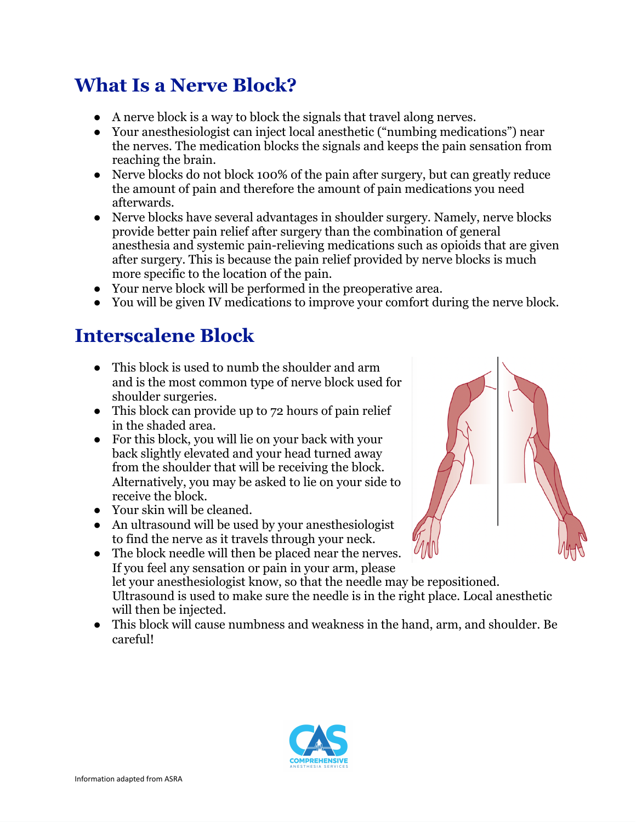### **What Is a Nerve Block?**

- A nerve block is a way to block the signals that travel along nerves.
- Your anesthesiologist can inject local anesthetic ("numbing medications") near the nerves. The medication blocks the signals and keeps the pain sensation from reaching the brain.
- Nerve blocks do not block 100% of the pain after surgery, but can greatly reduce the amount of pain and therefore the amount of pain medications you need afterwards.
- Nerve blocks have several advantages in shoulder surgery. Namely, nerve blocks provide better pain relief after surgery than the combination of general anesthesia and systemic pain-relieving medications such as opioids that are given after surgery. This is because the pain relief provided by nerve blocks is much more specific to the location of the pain.
- Your nerve block will be performed in the preoperative area.
- You will be given IV medications to improve your comfort during the nerve block.

#### **Interscalene Block**

- This block is used to numb the shoulder and arm and is the most common type of nerve block used for shoulder surgeries.
- This block can provide up to 72 hours of pain relief in the shaded area.
- For this block, you will lie on your back with your back slightly elevated and your head turned away from the shoulder that will be receiving the block. Alternatively, you may be asked to lie on your side to receive the block.
- Your skin will be cleaned.
- An ultrasound will be used by your anesthesiologist to find the nerve as it travels through your neck.
- The block needle will then be placed near the nerves. If you feel any sensation or pain in your arm, please let your anesthesiologist know, so that the needle may be repositioned. Ultrasound is used to make sure the needle is in the right place. Local anesthetic will then be injected.
- This block will cause numbness and weakness in the hand, arm, and shoulder. Be careful!